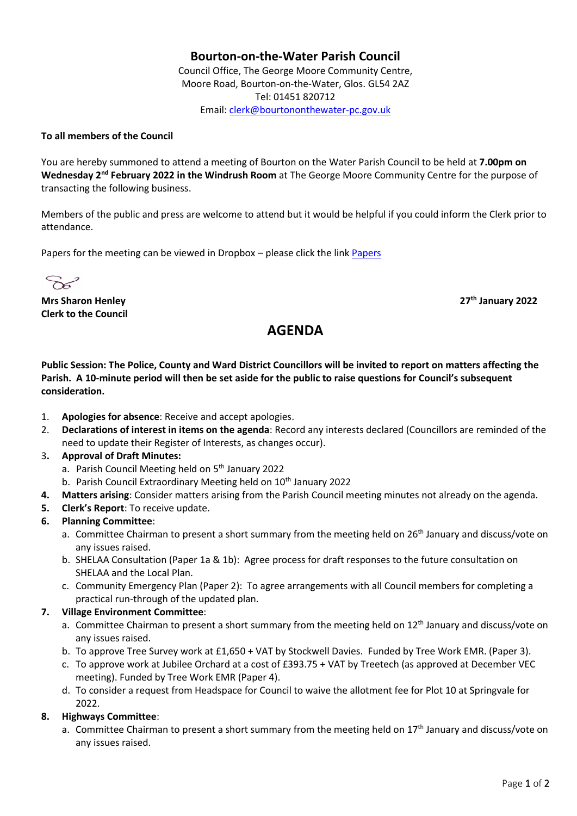## **Bourton-on-the-Water Parish Council**

Council Office, The George Moore Community Centre, Moore Road, Bourton-on-the-Water, Glos. GL54 2AZ Tel: 01451 820712 Email[: clerk@bourtononthewater-pc.gov.uk](mailto:clerk@bourtononthewater-pc.gov.uk)

#### **To all members of the Council**

You are hereby summoned to attend a meeting of Bourton on the Water Parish Council to be held at **7.00pm on**  Wednesday 2<sup>nd</sup> February 2022 in the Windrush Room at The George Moore Community Centre for the purpose of transacting the following business.

Members of the public and press are welcome to attend but it would be helpful if you could inform the Clerk prior to attendance.

Papers for the meeting can be viewed in Dropbox – please click the link [Papers](https://www.dropbox.com/sh/b8n8qtevrisb654/AAAa6VXY-y_OCo34teomkSSZa?dl=0)

 $\sum_{i=1}^{n}$ 

**Mrs Sharon Henley 27th January 2022 Clerk to the Council**

# **AGENDA**

**Public Session: The Police, County and Ward District Councillors will be invited to report on matters affecting the Parish. A 10-minute period will then be set aside for the public to raise questions for Council's subsequent consideration.** 

- 1. **Apologies for absence**: Receive and accept apologies.
- 2. **Declarations of interest in items on the agenda**: Record any interests declared (Councillors are reminded of the need to update their Register of Interests, as changes occur).

#### 3**. Approval of Draft Minutes:**

- a. Parish Council Meeting held on 5<sup>th</sup> January 2022
- b. Parish Council Extraordinary Meeting held on 10<sup>th</sup> January 2022
- **4. Matters arising**: Consider matters arising from the Parish Council meeting minutes not already on the agenda.
- **5. Clerk's Report**: To receive update.

## **6. Planning Committee**:

- a. Committee Chairman to present a short summary from the meeting held on 26<sup>th</sup> January and discuss/vote on any issues raised.
- b. SHELAA Consultation (Paper 1a & 1b): Agree process for draft responses to the future consultation on SHELAA and the Local Plan.
- c. Community Emergency Plan (Paper 2): To agree arrangements with all Council members for completing a practical run-through of the updated plan.

#### **7. Village Environment Committee**:

- a. Committee Chairman to present a short summary from the meeting held on  $12<sup>th</sup>$  January and discuss/vote on any issues raised.
- b. To approve Tree Survey work at £1,650 + VAT by Stockwell Davies. Funded by Tree Work EMR. (Paper 3).
- c. To approve work at Jubilee Orchard at a cost of £393.75 + VAT by Treetech (as approved at December VEC meeting). Funded by Tree Work EMR (Paper 4).
- d. To consider a request from Headspace for Council to waive the allotment fee for Plot 10 at Springvale for 2022.

## **8. Highways Committee**:

a. Committee Chairman to present a short summary from the meeting held on  $17<sup>th</sup>$  January and discuss/vote on any issues raised.